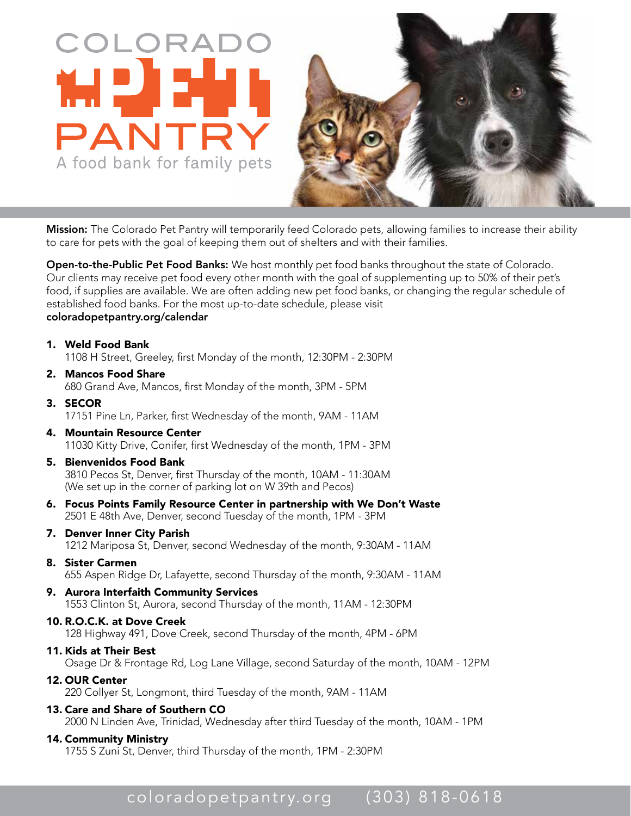



Mission: The Colorado Pet Pantry will temporarily feed Colorado pets, allowing families to increase their ability to care for pets with the goal of keeping them out of shelters and with their families. The Colorado Pet Pantry will temporarily feed Colorado pets, allowing families to increase their<br>or pets with the goal of keeping them out of shelters and with their families.<br>**p-the-Public Pet Food Banks:** We host monthly

Open-to-the-Public Pet Food Banks: We host monthly pet food banks throughout the state of Colorado. Our clients may receive pet food every other month with the goal of supplementing up to 50% of their pet's food, if supplies are available. We are often adding new pet food banks, or changing the regular schedule of established food banks. For the most up-to-date schedule, please visit coloradopetpantry.org/calendar

- 1. Weld Food Bank 1108 H Street, Greeley, first Monday of the month, 12:30PM - 2:30PM
- 2. Mancos Food Share 680 Grand Ave, Mancos, first Monday of the month, 3PM - 5PM
- 3. SECOR 17151 Pine Ln, Parker, first Wednesday of the month, 9AM - 11AM
- 4. Mountain Resource Center 11030 Kitty Drive, Conifer, first Wednesday of the month, 1PM - 3PM
- 5. Bienvenidos Food Bank 3810 Pecos St, Denver, first Thursday of the month, 10AM - 11:30AM (We set up in the corner of parking lot on W 39th and Pecos)
- 6. Focus Points Family Resource Center in partnership with We Don't Waste 2501 E 48th Ave, Denver, second Tuesday of the month, 1PM - 3PM
- 7. Denver Inner City Parish 1212 Mariposa St, Denver, second Wednesday of the month, 9:30AM - 11AM
- 8. Sister Carmen 655 Aspen Ridge Dr, Lafayette, second Thursday of the month, 9:30AM - 11AM
- 9. Aurora Interfaith Community Services 1553 Clinton St, Aurora, second Thursday of the month, 11AM - 12:30PM
- 10. R.O.C.K. at Dove Creek 128 Highway 491, Dove Creek, second Thursday of the month, 4PM - 6PM

## 11. Kids at Their Best Osage Dr & Frontage Rd, Log Lane Village, second Saturday of the month, 10AM - 12PM

- 12. OUR Center 220 Collyer St, Longmont, third Tuesday of the month, 9AM - 11AM
- 13. Care and Share of Southern CO 2000 N Linden Ave, Trinidad, Wednesday after third Tuesday of the month, 10AM - 1PM

## 14. Community Ministry

1755 S Zuni St, Denver, third Thursday of the month, 1PM - 2:30PM